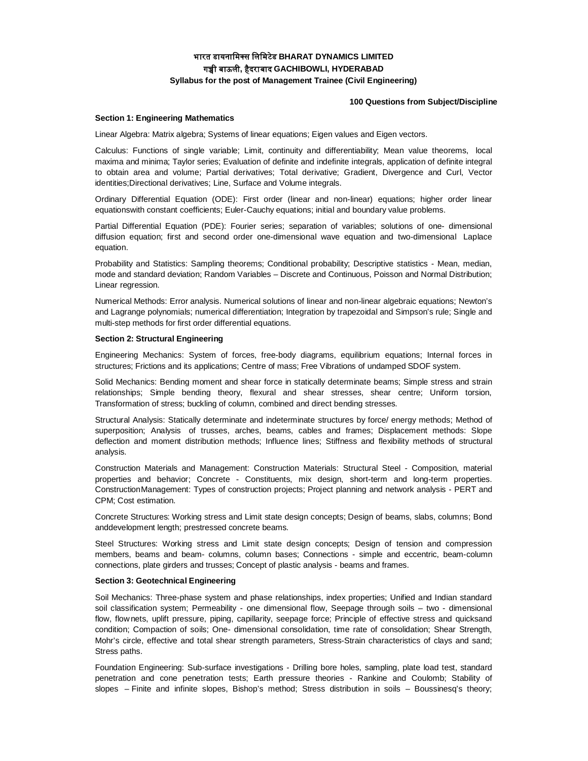# **भारत डायनािमस िलिमटेड BHARAT DYNAMICS LIMITED गᲬी बाऊली, हैदराबाद GACHIBOWLI, HYDERABAD Syllabus for the post of Management Trainee (Civil Engineering)**

# **100 Questions from Subject/Discipline**

# **Section 1: Engineering Mathematics**

Linear Algebra: Matrix algebra; Systems of linear equations; Eigen values and Eigen vectors.

Calculus: Functions of single variable; Limit, continuity and differentiability; Mean value theorems, local maxima and minima; Taylor series; Evaluation of definite and indefinite integrals, application of definite integral to obtain area and volume; Partial derivatives; Total derivative; Gradient, Divergence and Curl, Vector identities;Directional derivatives; Line, Surface and Volume integrals.

Ordinary Differential Equation (ODE): First order (linear and non-linear) equations; higher order linear equationswith constant coefficients; Euler-Cauchy equations; initial and boundary value problems.

Partial Differential Equation (PDE): Fourier series; separation of variables; solutions of one- dimensional diffusion equation; first and second order one-dimensional wave equation and two-dimensional Laplace equation.

Probability and Statistics: Sampling theorems; Conditional probability; Descriptive statistics - Mean, median, mode and standard deviation; Random Variables – Discrete and Continuous, Poisson and Normal Distribution; Linear regression.

Numerical Methods: Error analysis. Numerical solutions of linear and non-linear algebraic equations; Newton's and Lagrange polynomials; numerical differentiation; Integration by trapezoidal and Simpson's rule; Single and multi-step methods for first order differential equations.

# **Section 2: Structural Engineering**

Engineering Mechanics: System of forces, free-body diagrams, equilibrium equations; Internal forces in structures; Frictions and its applications; Centre of mass; Free Vibrations of undamped SDOF system.

Solid Mechanics: Bending moment and shear force in statically determinate beams; Simple stress and strain relationships; Simple bending theory, flexural and shear stresses, shear centre; Uniform torsion, Transformation of stress; buckling of column, combined and direct bending stresses.

Structural Analysis: Statically determinate and indeterminate structures by force/ energy methods; Method of superposition; Analysis of trusses, arches, beams, cables and frames; Displacement methods: Slope deflection and moment distribution methods; Influence lines; Stiffness and flexibility methods of structural analysis.

Construction Materials and Management: Construction Materials: Structural Steel - Composition, material properties and behavior; Concrete - Constituents, mix design, short-term and long-term properties. ConstructionManagement: Types of construction projects; Project planning and network analysis - PERT and CPM; Cost estimation.

Concrete Structures: Working stress and Limit state design concepts; Design of beams, slabs, columns; Bond anddevelopment length; prestressed concrete beams.

Steel Structures: Working stress and Limit state design concepts; Design of tension and compression members, beams and beam- columns, column bases; Connections - simple and eccentric, beam-column connections, plate girders and trusses; Concept of plastic analysis - beams and frames.

### **Section 3: Geotechnical Engineering**

Soil Mechanics: Three-phase system and phase relationships, index properties; Unified and Indian standard soil classification system; Permeability - one dimensional flow, Seepage through soils – two - dimensional flow, flow nets, uplift pressure, piping, capillarity, seepage force; Principle of effective stress and quicksand condition; Compaction of soils; One- dimensional consolidation, time rate of consolidation; Shear Strength, Mohr's circle, effective and total shear strength parameters, Stress-Strain characteristics of clays and sand; Stress paths.

Foundation Engineering: Sub-surface investigations - Drilling bore holes, sampling, plate load test, standard penetration and cone penetration tests; Earth pressure theories - Rankine and Coulomb; Stability of slopes – Finite and infinite slopes, Bishop's method; Stress distribution in soils – Boussinesq's theory;